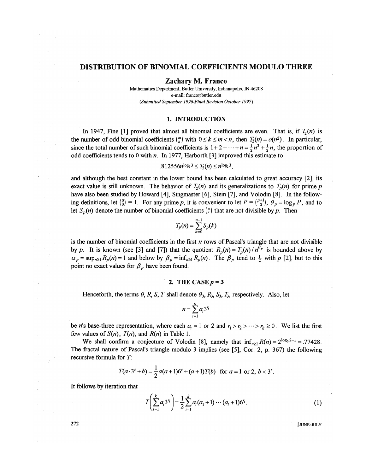## DISTRIBUTION OF BINOMIAL COEFFICIENTS MODULO THREE

Zachary M. Franco

Mathematics Department, Butler University, Indianapolis, IN 46208 e-mail: franco@butler.edu *(Submitted September 1996-Final Revision October 1997)* 

#### 1. INTRODUCTION

In 1947, Fine [1] proved that almost all binomial coefficients are even. That is, if  $T_2(n)$  is the number of odd binomial coefficients  $\binom{m}{k}$  with  $0 \le k \le m < n$ , then  $T_2(n) = o(n^2)$ . In particular, since the total number of such binomial coefficients is  $1 + 2 + \cdots + n = \frac{1}{2}n^2 + \frac{1}{2}n$ , the proportion of odd coefficients tends to 0 with *n.* In 1977, Harborth [3] improved this estimate to

$$
.812556n^{\log_2 3} \leq T_2(n) \leq n^{\log_2 3},
$$

and although the best constant in the lower bound has been calculated to great accuracy [2], its exact value is still unknown. The behavior of  $T_2(n)$  and its generalizations to  $T_p(n)$  for prime p have also been studied by Howard [4], Singmaster [6], Stein [7], and Volodin [8]. In the following definitions, let  ${0 \choose 0} = 1$ . For any prime p, it is convenient to let  $P = {P+1 \choose 2}$ ,  $\theta_p = \log_p P$ , and to let  $S_p(n)$  denote the number of binomial coefficients  $\binom{n}{r}$  that are not divisible by p. Then

$$
T_p(n) = \sum_{k=0}^{n-1} S_p(k)
$$

is the number of binomial coefficients in the first *n* rows of Pascal's triangle that are not divisible *by p*. It is known (see [3] and [7]) that the quotient  $R_p(n) = T_p(n)/n^{\theta_p}$  is bounded above by  $\alpha_p = \sup_{n \geq 1} R_p(n) = 1$  and below by  $\beta_p = \inf_{n \geq 1} R_p(n)$ . The  $\beta_p$  tend to  $\frac{1}{2}$  with *p* [2], but to this point no exact values for  $\beta_p$  have been found.

### 2. THE CASE  $p = 3$

Henceforth, the terms  $\theta$ , R, S, T shall denote  $\theta_3$ ,  $R_3$ ,  $S_3$ ,  $T_3$ , respectively. Also, let

$$
n=\sum_{i=1}^k a_i 3^{r_i}
$$

be *n*'s base-three representation, where each  $a_i = 1$  or 2 and  $r_1 > r_2 > \cdots > r_k \ge 0$ . We list the first few values of  $S(n)$ ,  $T(n)$ , and  $R(n)$  in Table 1.

We shall confirm a conjecture of Volodin [8], namely that  $\inf_{n>1} R(n) = 2^{\log_3 2-1} = .77428$ . The fractal nature of Pascal's triangle modulo 3 implies (see [5], Cor. 2, p. 367) the following recursive formula for *T:* 

$$
T(a\cdot 3^s+b)=\frac{1}{2}a(a+1)6^s+(a+1)T(b) \text{ for } a=1 \text{ or } 2, b<3^s.
$$

It follows by iteration that

$$
T\left(\sum_{i=1}^{k} a_i 3^{r_i}\right) = \frac{1}{2} \sum_{i=1}^{k} a_i (a_1 + 1) \cdots (a_i + 1) 6^{r_i}.
$$
 (1)

272 **[JUNE-JULY**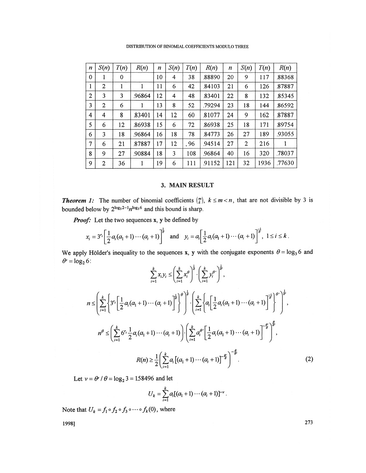DISTRIBUTION OF BINOMIAL COEFFICIENTS MODULO THREE

| $\boldsymbol{n}$ | S(n)           | T(n) | R(n)   | $\boldsymbol{n}$ | S(n) | T(n) | R(n)   | $\boldsymbol{n}$ | S(n)           | T(n) | R(n)   |
|------------------|----------------|------|--------|------------------|------|------|--------|------------------|----------------|------|--------|
| $\mathbf 0$      | 1              | 0    |        | 10               | 4    | 38   | 88890  | 20               | 9              | 117  | .88368 |
| 1                | 2              | 1    | 1      | 11               | 6    | 42   | .84103 | 21               | 6              | 126  | .87887 |
| $\overline{2}$   | 3              | 3    | .96864 | 12               | 4    | 48   | 83401  | 22               | 8              | 132  | .85345 |
| 3                | $\overline{2}$ | 6    | 1      | 13               | 8    | 52   | .79294 | 23               | 18             | 144  | 86592  |
| $\overline{4}$   | 4              | 8    | 83401  | 14               | 12   | 60   | 81077  | 24               | 9              | 162  | 87887  |
| 5                | 6              | 12   | .86938 | 15               | 6    | 72   | .86938 | 25               | 18             | 171  | 89754  |
| 6                | 3              | 18   | .96864 | 16               | 18   | 78   | .84773 | 26               | 27             | 189  | .93055 |
| 7                | 6              | 21   | 87887  | 17               | 12   | .96  | .94514 | 27               | $\overline{2}$ | 216  | 1      |
| 8                | 9              | 27   | .90884 | 18               | 3    | 108  | .96864 | 40               | 16             | 320  | .78037 |
| 9                | 2              | 36   | 1      | 19               | 6    | 111  | .91152 | 121              | 32             | 1936 | .77630 |

## 3. MAIN RESULT

**Theorem 1:** The number of binomial coefficients  $\binom{m}{k}$ ,  $k \leq m < n$ , that are not divisible by 3 is bounded below by  $2^{\log_3 2 - 1} n^{\log_3 6}$  and this bound is sharp.

*Proof:* Let the two sequences x, y be defined by

$$
x_i = 3^{r_i} \left[ \frac{1}{2} a_i (a_1 + 1) \cdots (a_i + 1) \right]^{\frac{1}{\theta}} \text{ and } y_i = a_i \left[ \frac{1}{2} a_i (a_1 + 1) \cdots (a_i + 1) \right]^{\frac{1}{\theta}}, 1 \le i \le k.
$$

We apply Hölder's inequality to the sequences x, y with the conjugate exponents  $\theta = \log_3 6$  and  $\theta' = \log_2 6$ :  $\mathbf{r}$   $\mathbf{r}$   $\mathbf{r}$   $\mathbf{r}$   $\mathbf{r}$   $\mathbf{r}$   $\mathbf{r}$   $\mathbf{r}$   $\mathbf{r}$   $\mathbf{r}$   $\mathbf{r}$   $\mathbf{r}$   $\mathbf{r}$   $\mathbf{r}$   $\mathbf{r}$   $\mathbf{r}$   $\mathbf{r}$   $\mathbf{r}$   $\mathbf{r}$   $\mathbf{r}$   $\mathbf{r}$   $\mathbf{r}$   $\mathbf{r}$   $\mathbf{r}$   $\mathbf{$ 

$$
\sum_{i=1}^{k} x_{i} y_{i} \leq \left(\sum_{i=1}^{k} x_{i}^{\theta}\right)^{\theta} \cdot \left(\sum_{i=1}^{k} y_{i}^{\theta}\right)^{\theta},
$$
\n
$$
n \leq \left(\sum_{i=1}^{k} \left\{3^{r_{i}} \left[\frac{1}{2} a_{i}(a_{1}+1) \cdots (a_{i}+1)\right]^{1-\theta}_{\theta}\right\} \right\}^{\theta} \cdot \left(\sum_{i=1}^{k} \left\{a_{i} \left[\frac{1}{2} a_{i}(a_{1}+1) \cdots (a_{i}+1)\right]^{1-\theta}_{\theta}\right\}^{\theta}\right)^{\theta},
$$
\n
$$
n^{\theta} \leq \left(\sum_{i=1}^{k} 6^{r_{i}} \frac{1}{2} a_{i}(a_{1}+1) \cdots (a_{i}+1)\right) \cdot \left(\sum_{i=1}^{k} a_{i}^{\theta} \cdot \left[\frac{1}{2} a_{i}(a_{1}+1) \cdots (a_{i}+1)\right]^{1-\theta} \right)^{\theta},
$$
\n
$$
R(n) \geq \frac{1}{2} \left(\sum_{i=1}^{k} a_{i} \left[(a_{1}+1) \cdots (a_{i}+1)\right]^{1-\theta} \right)^{\theta}.
$$
\n(2)

Let  $v = \theta' / \theta = \log_2 3 = 1.58496$  and let

$$
U_k = \sum_{i=1}^k a_i [(a_1 + 1) \cdots (a_i + 1)]^{-\nu}.
$$

Note that  $U_k = f_1 \circ f_2 \circ f_3 \circ \cdots \circ f_k(0)$ , where

1998]

273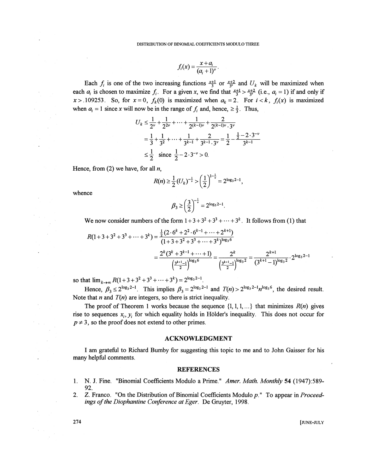$$
f_i(x) = \frac{x + a_i}{(a_i + 1)^{\nu}}
$$

Each  $f_i$  is one of the two increasing functions  $\frac{x+1}{3}$  or  $\frac{x+2}{3}$  and  $U_k$  will be maximized when each  $a_i$  is chosen to maximize  $f_i$ . For a given x, we find that  $\frac{x+1}{3} > \frac{x+2}{3}$  (i.e.,  $a_i = 1$ ) if and only if  $x > .109253$ . So, for  $x = 0$ ,  $f_k(0)$  is maximized when  $a_k = 2$ . For  $i < k$ ,  $f_i(x)$  is maximized when  $a_i = 1$  since x will now be in the range of  $f_i$  and, hence,  $\ge \frac{1}{2}$ . Thus,

$$
U_k \le \frac{1}{2^{\nu}} + \frac{1}{2^{2\nu}} + \dots + \frac{1}{2^{(k-1)\nu}} + \frac{2}{2^{(k-1)\nu} \cdot 3^{\nu}}
$$
  
=  $\frac{1}{3} + \frac{1}{3^2} + \dots + \frac{1}{3^{k-1}} + \frac{2}{3^{k-1} \cdot 3^{\nu}} = \frac{1}{2} - \frac{\frac{1}{2} - 2 \cdot 3^{-\nu}}{3^{k-1}}$   
 $\le \frac{1}{2} \quad \text{since } \frac{1}{2} - 2 \cdot 3^{-\nu} > 0.$ 

Hence, from (2) we have, for all *n,* 

$$
R(n) \ge \frac{1}{2} (U_k)^{-\frac{1}{\nu}} > \left(\frac{1}{2}\right)^{1-\frac{1}{\nu}} = 2^{\log_3 2 - 1},
$$

whence

$$
\beta_3 \ge \left(\frac{3}{2}\right)^{-\frac{1}{\nu}} = 2^{\log_3 2 - 1}.
$$

We now consider numbers of the form  $1 + 3 + 3^2 + 3^3 + \cdots + 3^k$ . It follows from (1) that

$$
R(1+3+3^2+3^3+\cdots+3^k) = \frac{\frac{1}{2}(2 \cdot 6^k + 2^2 \cdot 6^{k-1} + \cdots + 2^{k+1})}{(1+3+3^2+3^3+\cdots+3^k)^{\log_3 6}}
$$

$$
= \frac{2^k (3^k + 3^{k-1} + \cdots + 1)}{\left(\frac{3^{k+1}-1}{2}\right)^{\log_3 6}} = \frac{2^k}{\left(\frac{3^{k+1}-1}{2}\right)^{\log_3 2}} = \frac{2^{k+1}}{(3^{k+1}-1)^{\log_3 2}} \cdot 2^{\log_3 2-1}
$$

so that  $\lim_{k \to \infty} R(1 + 3 + 3^2 + 3^3 + \dots + 3^k) = 2^{\log_3 2 - 1}$ .

Hence,  $\beta_3 \le 2^{\log_3 2^{-1}}$ . This implies  $\beta_3 = 2^{\log_3 2^{-1}}$  and  $T(n) > 2^{\log_3 2^{-1}} n^{\log_3 6}$ , the desired result. Note that *n* and  $T(n)$  are integers, so there is strict inequality.

The proof of Theorem 1 works because the sequence  $\{1, 1, 1, ...\}$  that minimizes  $R(n)$  gives rise to sequences  $x_i, y_i$  for which equality holds in Hölder's inequality. This does not occur for  $p \neq 3$ , so the proof does not extend to other primes.

#### ACKNOWLEDGMENT

I am grateful to Richard Bumby for suggesting this topic to me and to John Gaisser for his many helpful comments.

#### REFERENCES

- 1. N. J. Fine. "Binomial Coefficients Modulo a Prime." *Amer. Math. Monthly* 54 (1947): 5 89- 92.
- 2. Z. Franco. "On the Distribution of Binomial Coefficients Modulo p." To appear in *Proceedings of the Diophantine Conference at Eger.* De Gruyter, 1998.